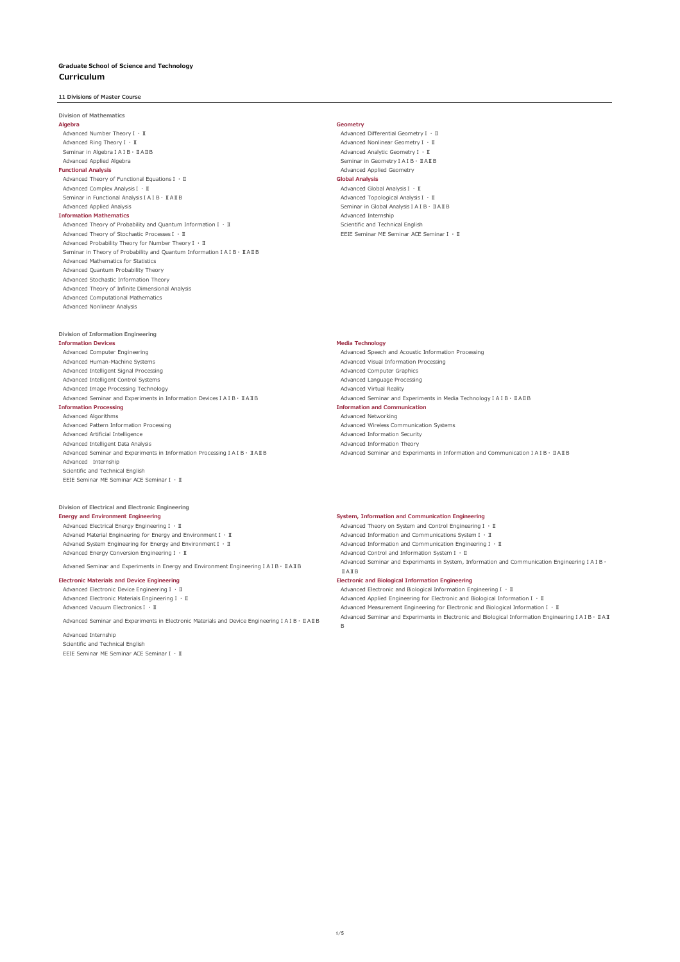# **11 Divisions of Master Course**

**Division of Mathematics Algebra Geometry** Advanced Number TheoryⅠ・Ⅱ Advanced Differential GeometryⅠ・Ⅱ Advanced Ring TheoryⅠ・Ⅱ Advanced Nonlinear GeometryⅠ・Ⅱ Seminar in Algebra ⅠA ⅠB • ⅡA ⅡB<br>Advanced Applied Algebra<br>Advanced Applied Algebra Advanced Applied Algebra<br> **Advanced Applied Algebra** Seminar in Geometry **1 A** IB<br> **Functional Analysis** Advanced Theory of Functional Equations Ⅰ · II **Global Analysis Global Analysis** Advanced Complex AnalysisⅠ・Ⅱ Advanced Global AnalysisⅠ・Ⅱ Seminar in Functional AnalysisⅠAⅠB・ⅡAⅡB Advanced Topological AnalysisⅠ・Ⅱ Advanced Applied Analysis Seminar in Global Analysis I A I B + I A I B + I A I B + I A I B + I A I B + I A I B<br>
nformation Mathematics Seminar in Global Analysis I A I B + I A I B + I A I B + I A I B + I A I B + I A I B + **Information Mathematics**<br>Advanced Theory of Probability and Quantum Information I · II and Scientific and Technical English

Advanced Theory of Probability and Quantum Information I · II<br>Advanced Theory of Stochastic Processes I · II Scientific and Technical English Scientific and Technical English Advanced Theory of Stochastic Processes  $I \cdot II$ Advanced Probability Theory for Number TheoryⅠ・Ⅱ Seminar in Theory of Probability and Quantum Information I A I B ⋅ II A II B Advanced Mathematics for Statistics Advanced Quantum Probability Theory Advanced Stochastic Information Theory Advanced Theory of Infinite Dimensional Analysis Advanced Computational Mathematics Advanced Nonlinear Analysis

**Functional Analysis** Advanced Applied Geometry

## **Division of Information Engineering**

**Information Devices**<br> **Advanced Computer Engineering**<br> **Advanced Speech**<br> **Advanced Speech**<br> **Advanced Speech** Advanced Human-Machine Systems Advanced Visual Information Processing Advanced Intelligent Signal Processing **Advanced Computer Graphics** Advanced Computer Graphics Advanced Intelligent Control Systems Advanced Language Processing Advanced Image Processing Technology<br>Advanced Seminar and Experiments in Information Devices I A I B · IIAIIB Advanced Seminar and Experiments in Media Technology I A I B · IIAIIB Advanced Seminar and Experiments in Information Devices ⅠA ⅠB · ⅡAⅡB<br>Information Processing Advanced Algorithms Advanced Networking Advanced Pattern Information Processing Advanced Wireless Communication Systems Advanced Artificial Intelligence<br>Advanced Intelligent Data Analysis<br>Advanced Intelligent Data Analysis Advanced Intelligent Data Analysis Advanced Information Theory Advanced Internship

# EEIE Seminar ME Seminar ACE SeminarⅠ・Ⅱ

Scientific and Technical English

# **Division of Electrical and Electronic Engineering**

Advaned Material Engineering for Energy and Environment I · II Advanced Information and Communications System I · II Advaned System Engineering for Energy and Environment I · II Advanced Information and Communication Engineering I · II Advanced Energy Conversion EngineeringⅠ・Ⅱ Advanced Control and Information SystemⅠ・Ⅱ

Advanced Seminar and Experiments in Electronic Materials and Device Engineering 1A1B Advanced Seminar and Experiments in Electronic and Biological Information Engineering IAIB · IIAI

Advanced Internship Scientific and Technical English EEIE Seminar ME Seminar ACE SeminarⅠ・Ⅱ

Advanced Speech and Acoustic Information Processing **Information Processing Information and Communication** Advanced Seminar and Experiments in Information and Communication IAIB · IIAIB

# **Energy and Environment Engineering**<br> **Engineering I Advanced Engineering I Advanced Theory on System and Control Engineering I Advanced Theory on System and Control Engineering I**

Advanced Theory on System and Control Engineering I · Ⅱ Advaned Seminar and Experiments in Energy and Environment Engineering IAIB Advanced Seminar and Experiments in System, Information and Communication Engineering IAIB .

# ⅡAⅡB

B

**Electronic Materials and Device Engineering Electronic and Biological Information Engineering**

Advanced Electronic Device EngineeringⅠ・Ⅱ Advanced Electronic and Biological Information EngineeringⅠ・Ⅱ Advanced Electronic Materials EngineeringⅠ・Ⅱ Advanced Applied Engineering for Electronic and Biological InformationⅠ・Ⅱ Advanced Vacuum ElectronicsⅠ・Ⅱ Advanced Measurement Engineering for Electronic and Biological InformationⅠ・Ⅱ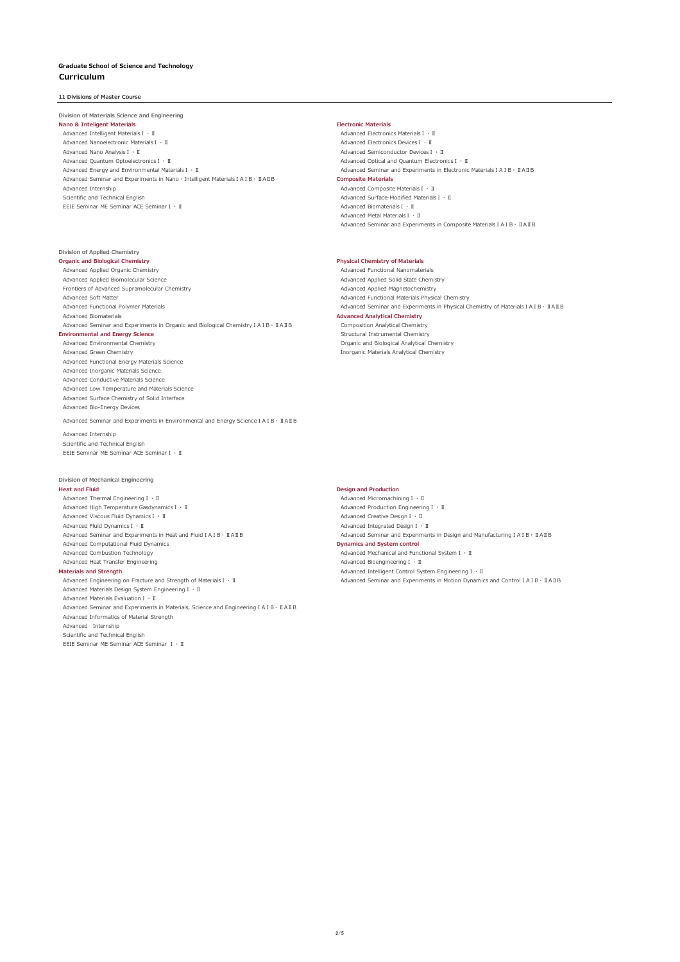# **11 Divisions of Master Course**

## **Division of Materials Science and Engineering**

**Nano & Inteligent Materials Electronic Materials** Advanced Intelligent MaterialsⅠ・Ⅱ Advanced Electronics MaterialsⅠ・Ⅱ Advanced Nanoelectronic MaterialsⅠ・Ⅱ Advanced Electronics DevicesⅠ・Ⅱ Advanced Nano AnalysisⅠ・Ⅱ<br>Advanced Quantum OptoelectronicsⅠ・Ⅱ Advanced Semiconductor DevicesⅠ・Ⅱ Advanced Optical and Quantum Electron Advanced Quantum OptoelectronicsⅠ・Ⅱ<br>Advanced Quantum OptoelectronicsⅠ・Ⅱ<br>Advanced Energy and Environmental MaterialsⅠ・Ⅱ Advanced Seminar and Experiments in Electronic Advanced Seminar and Experiments in Nano · Intelligent Materials I A I B · **II A II B Composite Materials** Advanced Internship Advanced Composite MaterialsⅠ・Ⅱ Scientific and Technical English Advanced Surface-Modified MaterialsⅠ・Ⅱ EEIE Seminar ME Seminar ACE SeminarⅠ・Ⅱ Advanced BiomaterialsⅠ・Ⅱ

# **Division of Applied Chemistry**

Advanced Applied Organic Chemistry<br>Advanced Applied Biomolecular Science<br>Advanced Applied Solid State Chem Frontiers of Advanced Supramolecular Chemistry<br>Advanced Soft Matter Advanced Biomaterials<br>Advanced Analytical Chemistry **Advanced Analytical Chemistry**<br>Composition Analytical Chemistry *Advanced Seminary Advanced Seminary Advanced Seminary* Advanced Seminar and Experiments in Organic and Biological Chemistry I A I B ⋅ II A II B Environmental and Energy Science<br>
Advanced Environmental Chemistry<br>
Advanced Environmental Chemistry<br>
Advanced Environmental Chemistry

Advanced Functional Energy Materials Science Advanced Inorganic Materials Science Advanced Conductive Materials Science Advanced Low Temperature and Materials Science Advanced Surface Chemistry of Solid Interface Advanced Bio-Energy Devices

Advanced Seminar and Experiments in Environmental and Energy ScienceⅠAⅠB・ⅡAⅡB Advanced Internship Scientific and Technical English EEIE Seminar ME Seminar ACE SeminarⅠ・Ⅱ

## **Division of Mechanical Engineering**

**Heat and Fluid Design and Production** Advanced Thermal EngineeringⅠ・Ⅱ<br>Advanced High Temperature GasdynamicsⅠ・Ⅱ Advanced MicromachiningⅠ・Ⅲ Advanced Production EngineeringⅠ・Ⅱ Advanced High Temperature GasdynamicsⅠ・Ⅱ Advanced Production Engineering<br>Advanced Viscous Fluid DynamicsⅠ・Ⅱ Advanced Oreative DesignⅠ・Ⅱ Advanced Viscous Fluid Dynamics I · II<br>Advanced Fluid Dynamics I · II Advanced Seminar and Experiments in Heat and FluidⅠAⅠB・ⅡAⅡB Advanced Seminar and Experiments in Design and ManufacturingⅠAⅠB・ⅡAⅡB Advanced Computational Fluid Dynamics<br>
Advanced Combustion Technology<br>
Advanced Mechanical and Func Advanced Heat Transfer Engineering Cameration Advanced Bioengineering I ۰ II<br>Advanced Intelligent Control System Advanced Intelligent Control System Advanced Intelligent Control System A Materials and Strength Advanced Intelligent Control System Engineering 1 · II<br>Advanced Engineering on Fracture and Strength of MaterialsⅠ · II and Advanced Seminar and Experiments in Motion Dynamic<br>Advanced Engineering on Advanced Materials Design System EngineeringⅠ・Ⅱ Advanced Materials EvaluationⅠ・Ⅱ Advanced Seminar and Experiments in Materials, Science and EngineeringⅠAⅠB・ⅡAⅡB Advanced Informatics of Material Strength Advanced Internship Scientific and Technical English

EEIE Seminar ME Seminar ACE Seminar Ⅰ・Ⅱ

Advanced Seminar and Experiments in Electronic Materials I A I B ⋅ II A II B Advanced Metal MaterialsⅠ・Ⅱ Advanced Seminar and Experiments in Composite Materials I A I B · II A II B

## **Organic and Biological Chemistry Physical Chemistry of Materials**

Advanced Applied Solid State Chemistry<br>Advanced Applied Magnetochemistry Advanced Functional Materials Physical Chemistry Advanced Functional Polymer Materials Advanced Seminar and Experiments in Physical Chemistry of Materials IA IB · IIAIIB Advanced Environmental Chemistry Organic and Biological Analytical Chemistry Inorganic Materials Analytical Chemistry

Advanced Integrated Design  $I \cdot II$ Advanced Mechanical and Functional System Ⅰ · Ⅱ

Advanced Seminar and Experiments in Motion Dynamics and Control I A I B · II AII B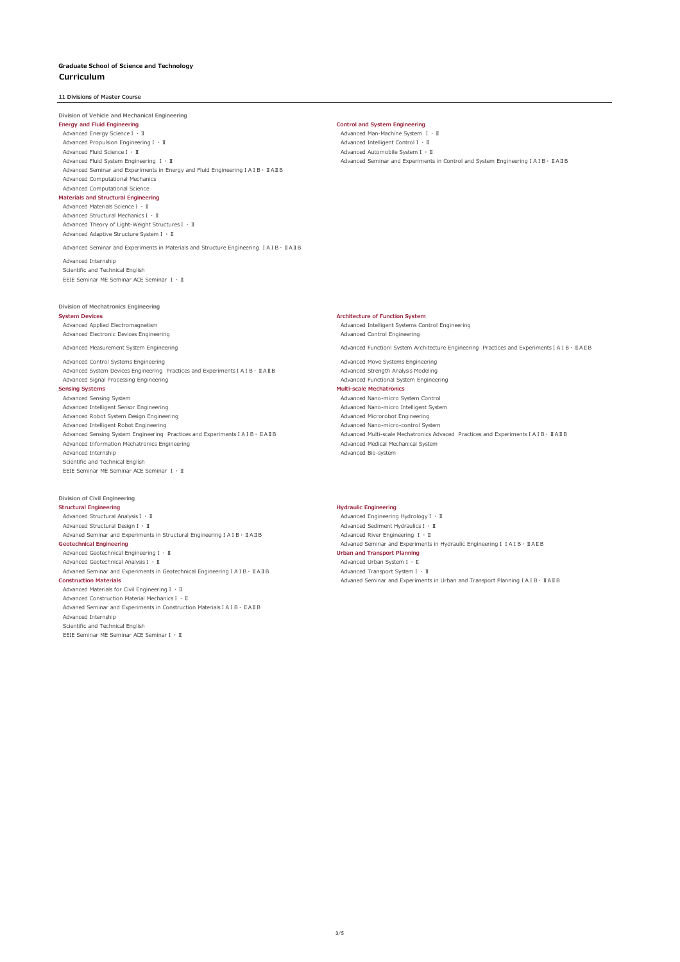**11 Divisions of Master Course**

# **Division of Vehicle and Mechanical Engineering**

Advanced Energy ScienceⅠ・Ⅱ Advanced Man-Machine System Ⅰ・Ⅱ Advanced Propulsion EngineeringⅠ・Ⅱ Advanced Intelligent ControlⅠ・Ⅱ Advanced Fluid ScienceⅠ・Ⅱ 11 Advanced Automobile System Ⅰ・Ⅱ Advanced Automobile System Ⅰ・Ⅱ Advanced Automobile System Ⅰ・Ⅲ Advanced Seminar and Experiments

Advanced Seminar and Experiments in Energy and Fluid EngineeringⅠAⅠB・ⅡAⅡB Advanced Computational Mechanics Advanced Computational Science

# **Materials and Structural Engineering**

Advanced Materials ScienceⅠ・Ⅱ Advanced Structural MechanicsⅠ・Ⅱ Advanced Theory of Light-Weight StructuresⅠ・Ⅱ Advanced Adaptive Structure SystemⅠ・Ⅱ

Advanced Seminar and Experiments in Materials and Structure Engineering ⅠAⅠB・ⅡAⅡB

Advanced Internship Scientific and Technical English EEIE Seminar ME Seminar ACE Seminar Ⅰ・Ⅱ

## **Division of Mechatronics Engineering**

**System Devices**<br>**Architecture of Function System**<br>**Advanced Annlied Flectromagnetism** Advanced Electronic Devices Engineering Advanced Control Engineering

Advanced Control Systems Engineering Advanced Move Systems Engineering Advanced System Devices Engineering Practices and ExperimentsⅠAⅠB・ⅡAⅡB Advanced Strength Analysis Modeling Advanced Signal Processing Engineering Advanced Functional System Engineering

**Sensing Systems Multi-scale Mechatronics** Advanced Sensing System Advanced Nano-micro System Control Advanced Robot System Design Engineering Advanced Microrobot Engineering Advanced Intelligent Robot Engineering Advanced Nano-micro-control System Advanced Information Mechatronics Engineering<br>Advanced Information Mechatronics Engineering<br>Advanced Internship Scientific and Technical English EEIE Seminar ME Seminar ACE Seminar Ⅰ・Ⅱ

# **Division of Civil Engineering**

**Structural Engineering**<br> **Advanced Structural Analysis I** · II **Advanced Engineering**<br> **Advanced Engineering** .<br>Advanced Structural AnalysisⅠ・Ⅱ Advanced Engineering HydrologyⅠ・Ⅱ Advanced Engineering HydrologyⅠ・Ⅱ<br>Advanced Structural DesignⅠ・Ⅱ Advanced Sediment HydraulicsⅠ・Ⅱ Advaned Seminar and Experiments in Structural Engineering IAIB·IRAIB Advanced River Engineering I · II **Geotechnical Engineering** Advaned Seminar and Experiments in Hydraulic EngineeringⅠⅠAⅠB・ⅡAⅡB Advanced Geotechnical EngineeringⅠ・Ⅱ **Urban and Transport Planning** Advanced Geotechnical AnalysisⅠ · II<br>Advanced Advanced Transport System I · II Advanced Transport System I · II Advanced Seminar and Experiments in Geotechnical Engineering IAIB · ΠΑΙΒ<br> **Construction Materials** Advanced Materials for Civil EngineeringⅠ・Ⅱ

Advanced Construction Material MechanicsⅠ・Ⅱ Advaned Seminar and Experiments in Construction MaterialsⅠAⅠB・ⅡAⅡB Advanced Internship Scientific and Technical English EEIE Seminar ME Seminar ACE SeminarⅠ・Ⅱ

**Energy and Fluid Engineering Control and System Engineering**

Advanced Fluid System Engineering Ⅰ・Ⅱ Advanced Seminar and Experiments in Control and System EngineeringⅠAⅠB・ⅡAⅡB

Advanced Intelligent Systems Control Engineering Advanced Measurement System Engineering Advanced Functionl System Architecture Engineering Practices and ExperimentsⅠAⅠB・ⅡAⅡB

Advanced Nano-micro Intelligent System Advanced Sensing System Engineering Practices and ExperimentsⅠAⅠB・ⅡAⅡB Advanced Multi-scale Mechatronics Advaced Practices and ExperimentsⅠAⅠB・ⅡAⅡB Advanced Information Mechatronics Engineering and ExperimentsⅠAⅡB・ⅢAⅢB Advanced Bio-system

Advanced Sediment Hydraulics Ⅰ · Ⅱ **Construction Materials** Advaned Seminar and Experiments in Urban and Transport PlanningⅠAⅠB・ⅡAⅡB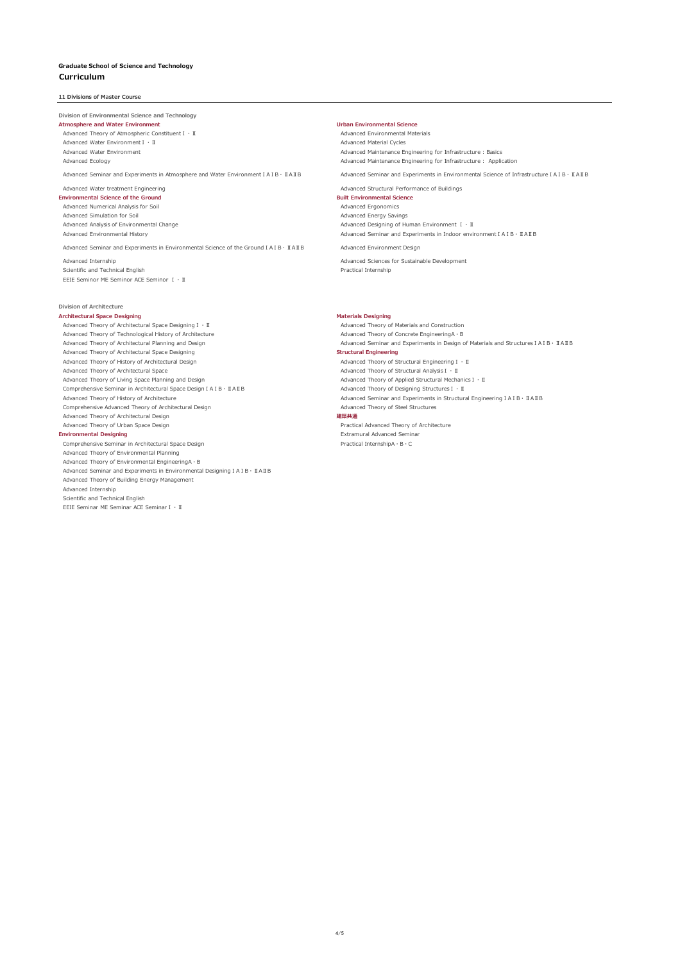## **11 Divisions of Master Course**

## **Division of Environmental Science and Technology**

**Atmosphere and Water Environment Urban Environmental Science** Advanced Theory of Atmospheric Constituent Ⅰ · Ⅱ Advanced Environmental Materials Advanced Water EnvironmentⅠ・Ⅱ Advanced Material Cycles

Advanced Seminar and Experiments in Atmosphere and Water EnvironmentⅠAⅠB・ⅡAⅡB Advanced Seminar and Experiments in Environmental Science of InfrastructureⅠAⅠB・ⅡAⅡB

# **Environmental Science of the Ground Built Environmental Science**

Advanced Numerical Analysis for Soil and the South Advanced Ergonomics of Advanced Ergonomics<br>Advanced Simulation for Soil Advanced Energy Savings Advanced Simulation for Soil<br>Advanced Analysis of Environmental Change

Advanced Seminar and Experiments in Environmental Science of the Ground IAIB · IIAIIB Advanced Environment Design

Scientific and Technical English **Practical Internship** Practical Internship EEIE Seminor ME Seminor ACE Seminor Ⅰ・Ⅱ

# **Division of Architecture**

Advanced Theory of Architectural Space Designing I · II and Architecture and Construction<br>Advanced Theory of Technological History of Architecture and Construction Advanced Theory of Concrete Engineering A · B Advanced Theory of Technological History of Architecture<br>Advanced Theory of Architectural Planning and Design Advanced Theory of Architectural Space Designing Advanced Theory of History of Architectural Design Advanced Theory of Structural EngineeringⅠ・Ⅱ Advanced Theory of Architectural Space<br>Advanced Theory of Architectural AnalysisⅠ · II<br>Advanced Theory of Analied Structural Mecha Comprehensive Seminar in Architectural Space Design ⅠAⅠB・ⅡAⅡB Advanced Theory of Designing Structures 1 · II<br>Advanced Theory of History of Architecture Check and Design 1A1B Advanced Seminar and Experiments in Structur Comprehensive Advanced Theory of Architectural Design Advanced Theory of Architectural Design **建築共通** Advanced Theory of Urban Space Design Practical Advanced Theory of Architecture

**Environmental Designing**<br>Comprehensive Seminar in Architectural Space Design<br>Comprehensive Seminar in Architectural Space Design<br>
Comprehensive Seminar in Architectural Space Design comprehensive Seminar in Architectural Space Design Advanced Theory of Environmental Planning Advanced Theory of Environmental EngineeringA・B Advanced Seminar and Experiments in Environmental DesigningⅠAⅠB・ⅡAⅡB Advanced Theory of Building Energy Management Advanced Internship Scientific and Technical English EEIE Seminar ME Seminar ACE SeminarⅠ・Ⅱ

Advanced Water Environment<br>Advanced Maintenance Engineering for Infrastructure : Assics<br>Advanced Ecology and Infrastructure : Applic Advanced Maintenance Engineering for Infrastructure : Application

Advanced Water treatment Engineering Advanced Structural Performance of Buildings

Advanced Analysis of Environmental Change<br>Advanced Environmental History and Change Advanced Designing of Human Environment 1 · II Advanced Seminar and Experiments in Indoor environment I A I B · ⅡA II B

Advanced Internship Advanced Sciences for Sustainable Development

**Architectural Space Designing**<br>Advanced Theory of Architectural Space Designing T + TI and a structure of Materials and Construction Advanced Seminar and Experiments in Design of Materials and Structures IAIB · IIAIB<br>Structural Engineering Advanced Theory of Applied Structural MechanicsⅠ · Ⅱ Advanced Seminar and Experiments in Structural Engineering I A I B · II A II B<br>Advanced Theory of Steel Structures